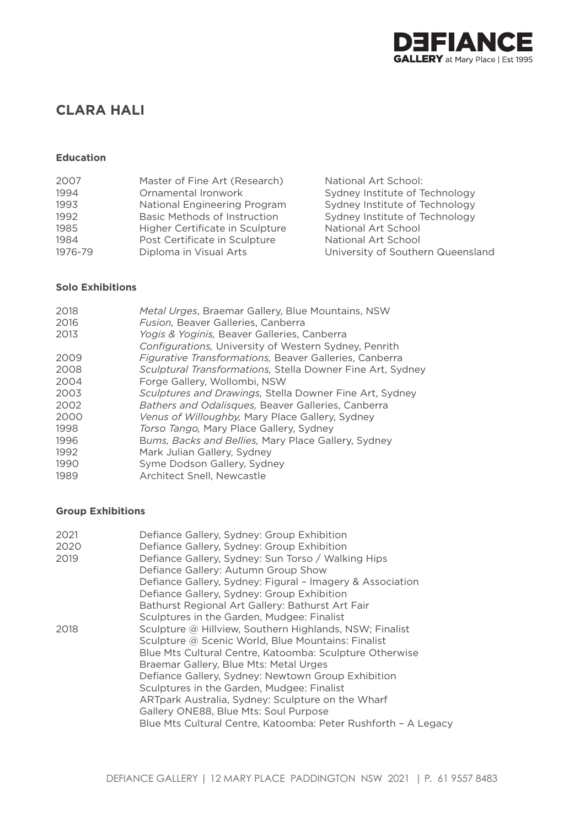

# **CLARA HALI**

## **Education**

| 2007    | Master of Fine Art (Research)       | National Art School:              |
|---------|-------------------------------------|-----------------------------------|
| 1994    | Ornamental Ironwork                 | Sydney Institute of Technology    |
| 1993    | National Engineering Program        | Sydney Institute of Technology    |
| 1992    | <b>Basic Methods of Instruction</b> | Sydney Institute of Technology    |
| 1985    | Higher Certificate in Sculpture     | National Art School               |
| 1984    | Post Certificate in Sculpture       | National Art School               |
| 1976-79 | Diploma in Visual Arts              | University of Southern Queensland |

## **Solo Exhibitions**

| 2018 | Metal Urges, Braemar Gallery, Blue Mountains, NSW          |
|------|------------------------------------------------------------|
| 2016 | Fusion, Beaver Galleries, Canberra                         |
| 2013 | Yogis & Yoginis, Beaver Galleries, Canberra                |
|      | Configurations, University of Western Sydney, Penrith      |
| 2009 | Figurative Transformations, Beaver Galleries, Canberra     |
| 2008 | Sculptural Transformations, Stella Downer Fine Art, Sydney |
| 2004 | Forge Gallery, Wollombi, NSW                               |
| 2003 | Sculptures and Drawings, Stella Downer Fine Art, Sydney    |
| 2002 | Bathers and Odalisques, Beaver Galleries, Canberra         |
| 2000 | Venus of Willoughby, Mary Place Gallery, Sydney            |
| 1998 | Torso Tango, Mary Place Gallery, Sydney                    |
| 1996 | Bums, Backs and Bellies, Mary Place Gallery, Sydney        |
| 1992 | Mark Julian Gallery, Sydney                                |
| 1990 | Syme Dodson Gallery, Sydney                                |
| 1989 | Architect Snell, Newcastle                                 |

## **Group Exhibitions**

| 2021<br>2020 | Defiance Gallery, Sydney: Group Exhibition<br>Defiance Gallery, Sydney: Group Exhibition |
|--------------|------------------------------------------------------------------------------------------|
| 2019         | Defiance Gallery, Sydney: Sun Torso / Walking Hips                                       |
|              | Defiance Gallery: Autumn Group Show                                                      |
|              | Defiance Gallery, Sydney: Figural - Imagery & Association                                |
|              | Defiance Gallery, Sydney: Group Exhibition                                               |
|              | Bathurst Regional Art Gallery: Bathurst Art Fair                                         |
|              | Sculptures in the Garden, Mudgee: Finalist                                               |
| 2018         | Sculpture @ Hillview, Southern Highlands, NSW; Finalist                                  |
|              | Sculpture @ Scenic World, Blue Mountains: Finalist                                       |
|              | Blue Mts Cultural Centre, Katoomba: Sculpture Otherwise                                  |
|              | Braemar Gallery, Blue Mts: Metal Urges                                                   |
|              | Defiance Gallery, Sydney: Newtown Group Exhibition                                       |
|              | Sculptures in the Garden, Mudgee: Finalist                                               |
|              | ARTpark Australia, Sydney: Sculpture on the Wharf                                        |
|              | Gallery ONE88, Blue Mts: Soul Purpose                                                    |
|              | Blue Mts Cultural Centre, Katoomba: Peter Rushforth - A Legacy                           |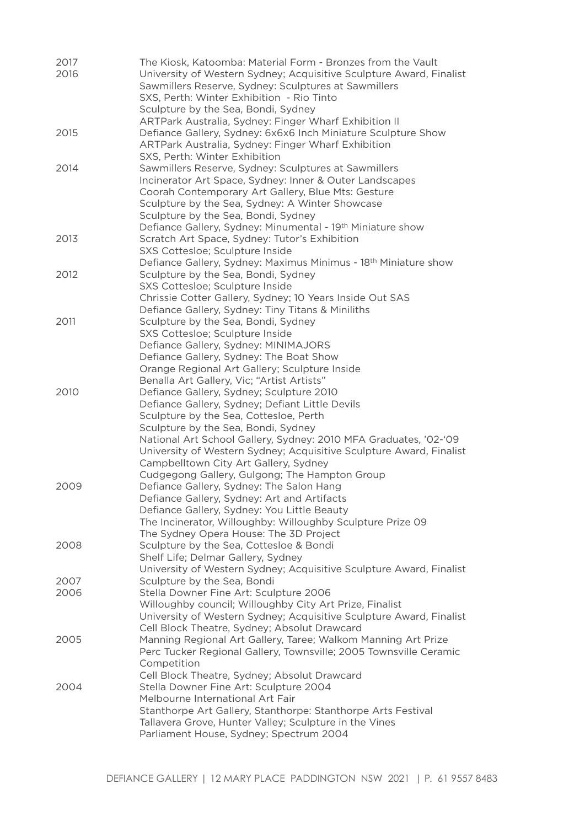| 2017<br>2016 | The Kiosk, Katoomba: Material Form - Bronzes from the Vault<br>University of Western Sydney; Acquisitive Sculpture Award, Finalist<br>Sawmillers Reserve, Sydney: Sculptures at Sawmillers<br>SXS, Perth: Winter Exhibition - Rio Tinto<br>Sculpture by the Sea, Bondi, Sydney                                                                                                                                    |
|--------------|-------------------------------------------------------------------------------------------------------------------------------------------------------------------------------------------------------------------------------------------------------------------------------------------------------------------------------------------------------------------------------------------------------------------|
| 2015         | ARTPark Australia, Sydney: Finger Wharf Exhibition II<br>Defiance Gallery, Sydney: 6x6x6 Inch Miniature Sculpture Show<br>ARTPark Australia, Sydney: Finger Wharf Exhibition<br>SXS, Perth: Winter Exhibition                                                                                                                                                                                                     |
| 2014         | Sawmillers Reserve, Sydney: Sculptures at Sawmillers<br>Incinerator Art Space, Sydney: Inner & Outer Landscapes<br>Coorah Contemporary Art Gallery, Blue Mts: Gesture<br>Sculpture by the Sea, Sydney: A Winter Showcase<br>Sculpture by the Sea, Bondi, Sydney<br>Defiance Gallery, Sydney: Minumental - 19th Miniature show                                                                                     |
| 2013         | Scratch Art Space, Sydney: Tutor's Exhibition<br>SXS Cottesloe; Sculpture Inside<br>Defiance Gallery, Sydney: Maximus Minimus - 18 <sup>th</sup> Miniature show                                                                                                                                                                                                                                                   |
| 2012         | Sculpture by the Sea, Bondi, Sydney<br>SXS Cottesloe; Sculpture Inside<br>Chrissie Cotter Gallery, Sydney; 10 Years Inside Out SAS<br>Defiance Gallery, Sydney: Tiny Titans & Miniliths                                                                                                                                                                                                                           |
| 2011         | Sculpture by the Sea, Bondi, Sydney<br>SXS Cottesloe; Sculpture Inside<br>Defiance Gallery, Sydney: MINIMAJORS<br>Defiance Gallery, Sydney: The Boat Show<br>Orange Regional Art Gallery; Sculpture Inside<br>Benalla Art Gallery, Vic; "Artist Artists"                                                                                                                                                          |
| 2010         | Defiance Gallery, Sydney; Sculpture 2010<br>Defiance Gallery, Sydney; Defiant Little Devils<br>Sculpture by the Sea, Cottesloe, Perth<br>Sculpture by the Sea, Bondi, Sydney<br>National Art School Gallery, Sydney: 2010 MFA Graduates, '02-'09<br>University of Western Sydney; Acquisitive Sculpture Award, Finalist<br>Campbelltown City Art Gallery, Sydney<br>Cudgegong Gallery, Gulgong; The Hampton Group |
| 2009         | Defiance Gallery, Sydney: The Salon Hang<br>Defiance Gallery, Sydney: Art and Artifacts<br>Defiance Gallery, Sydney: You Little Beauty<br>The Incinerator, Willoughby: Willoughby Sculpture Prize 09<br>The Sydney Opera House: The 3D Project                                                                                                                                                                    |
| 2008         | Sculpture by the Sea, Cottesloe & Bondi<br>Shelf Life; Delmar Gallery, Sydney<br>University of Western Sydney; Acquisitive Sculpture Award, Finalist                                                                                                                                                                                                                                                              |
| 2007         | Sculpture by the Sea, Bondi                                                                                                                                                                                                                                                                                                                                                                                       |
| 2006         | Stella Downer Fine Art: Sculpture 2006<br>Willoughby council; Willoughby City Art Prize, Finalist<br>University of Western Sydney; Acquisitive Sculpture Award, Finalist<br>Cell Block Theatre, Sydney; Absolut Drawcard                                                                                                                                                                                          |
| 2005         | Manning Regional Art Gallery, Taree; Walkom Manning Art Prize<br>Perc Tucker Regional Gallery, Townsville; 2005 Townsville Ceramic<br>Competition<br>Cell Block Theatre, Sydney; Absolut Drawcard                                                                                                                                                                                                                 |
| 2004         | Stella Downer Fine Art: Sculpture 2004<br>Melbourne International Art Fair<br>Stanthorpe Art Gallery, Stanthorpe: Stanthorpe Arts Festival<br>Tallavera Grove, Hunter Valley; Sculpture in the Vines<br>Parliament House, Sydney; Spectrum 2004                                                                                                                                                                   |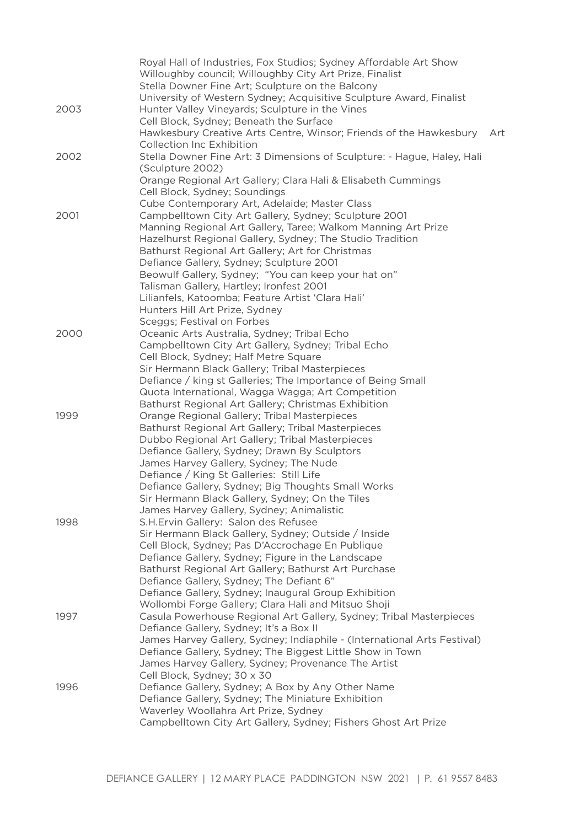|      | Royal Hall of Industries, Fox Studios; Sydney Affordable Art Show                                  |  |
|------|----------------------------------------------------------------------------------------------------|--|
|      | Willoughby council; Willoughby City Art Prize, Finalist                                            |  |
|      | Stella Downer Fine Art; Sculpture on the Balcony                                                   |  |
|      | University of Western Sydney; Acquisitive Sculpture Award, Finalist                                |  |
| 2003 | Hunter Valley Vineyards; Sculpture in the Vines                                                    |  |
|      | Cell Block, Sydney; Beneath the Surface                                                            |  |
|      | Hawkesbury Creative Arts Centre, Winsor; Friends of the Hawkesbury<br>Art                          |  |
|      | Collection Inc Exhibition                                                                          |  |
| 2002 | Stella Downer Fine Art: 3 Dimensions of Sculpture: - Hague, Haley, Hali                            |  |
|      | (Sculpture 2002)                                                                                   |  |
|      | Orange Regional Art Gallery; Clara Hali & Elisabeth Cummings                                       |  |
|      | Cell Block, Sydney; Soundings                                                                      |  |
|      | Cube Contemporary Art, Adelaide; Master Class                                                      |  |
| 2001 | Campbelltown City Art Gallery, Sydney; Sculpture 2001                                              |  |
|      | Manning Regional Art Gallery, Taree; Walkom Manning Art Prize                                      |  |
|      | Hazelhurst Regional Gallery, Sydney; The Studio Tradition                                          |  |
|      | Bathurst Regional Art Gallery; Art for Christmas                                                   |  |
|      | Defiance Gallery, Sydney; Sculpture 2001                                                           |  |
|      | Beowulf Gallery, Sydney; "You can keep your hat on"                                                |  |
|      | Talisman Gallery, Hartley; Ironfest 2001                                                           |  |
|      | Lilianfels, Katoomba; Feature Artist 'Clara Hali'                                                  |  |
|      | Hunters Hill Art Prize, Sydney                                                                     |  |
|      | Sceggs; Festival on Forbes                                                                         |  |
| 2000 | Oceanic Arts Australia, Sydney; Tribal Echo                                                        |  |
|      | Campbelltown City Art Gallery, Sydney; Tribal Echo                                                 |  |
|      | Cell Block, Sydney; Half Metre Square                                                              |  |
|      | Sir Hermann Black Gallery; Tribal Masterpieces                                                     |  |
|      | Defiance / king st Galleries; The Importance of Being Small                                        |  |
|      | Quota International, Wagga Wagga; Art Competition                                                  |  |
| 1999 | Bathurst Regional Art Gallery; Christmas Exhibition                                                |  |
|      | Orange Regional Gallery; Tribal Masterpieces<br>Bathurst Regional Art Gallery; Tribal Masterpieces |  |
|      | Dubbo Regional Art Gallery; Tribal Masterpieces                                                    |  |
|      | Defiance Gallery, Sydney; Drawn By Sculptors                                                       |  |
|      | James Harvey Gallery, Sydney; The Nude                                                             |  |
|      | Defiance / King St Galleries: Still Life                                                           |  |
|      | Defiance Gallery, Sydney; Big Thoughts Small Works                                                 |  |
|      | Sir Hermann Black Gallery, Sydney; On the Tiles                                                    |  |
|      | James Harvey Gallery, Sydney; Animalistic                                                          |  |
| 1998 | S.H.Ervin Gallery: Salon des Refusee                                                               |  |
|      | Sir Hermann Black Gallery, Sydney; Outside / Inside                                                |  |
|      | Cell Block, Sydney; Pas D'Accrochage En Publique                                                   |  |
|      | Defiance Gallery, Sydney; Figure in the Landscape                                                  |  |
|      | Bathurst Regional Art Gallery; Bathurst Art Purchase                                               |  |
|      | Defiance Gallery, Sydney; The Defiant 6"                                                           |  |
|      | Defiance Gallery, Sydney; Inaugural Group Exhibition                                               |  |
|      | Wollombi Forge Gallery; Clara Hali and Mitsuo Shoji                                                |  |
| 1997 | Casula Powerhouse Regional Art Gallery, Sydney; Tribal Masterpieces                                |  |
|      | Defiance Gallery, Sydney; It's a Box II                                                            |  |
|      | James Harvey Gallery, Sydney; Indiaphile - (International Arts Festival)                           |  |
|      | Defiance Gallery, Sydney; The Biggest Little Show in Town                                          |  |
|      | James Harvey Gallery, Sydney; Provenance The Artist                                                |  |
|      | Cell Block, Sydney; 30 x 30                                                                        |  |
| 1996 | Defiance Gallery, Sydney; A Box by Any Other Name                                                  |  |
|      | Defiance Gallery, Sydney; The Miniature Exhibition                                                 |  |
|      | Waverley Woollahra Art Prize, Sydney                                                               |  |
|      | Campbelltown City Art Gallery, Sydney; Fishers Ghost Art Prize                                     |  |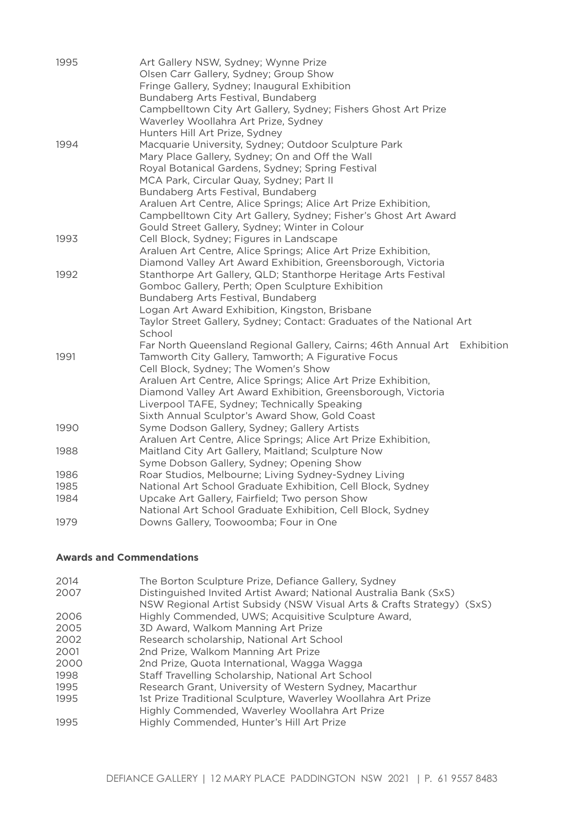| 1995 | Art Gallery NSW, Sydney; Wynne Prize                                                                                           |
|------|--------------------------------------------------------------------------------------------------------------------------------|
|      | Olsen Carr Gallery, Sydney; Group Show                                                                                         |
|      | Fringe Gallery, Sydney; Inaugural Exhibition                                                                                   |
|      | Bundaberg Arts Festival, Bundaberg                                                                                             |
|      | Campbelltown City Art Gallery, Sydney; Fishers Ghost Art Prize                                                                 |
|      | Waverley Woollahra Art Prize, Sydney                                                                                           |
|      | Hunters Hill Art Prize, Sydney                                                                                                 |
| 1994 | Macquarie University, Sydney; Outdoor Sculpture Park                                                                           |
|      | Mary Place Gallery, Sydney; On and Off the Wall                                                                                |
|      | Royal Botanical Gardens, Sydney; Spring Festival                                                                               |
|      | MCA Park, Circular Quay, Sydney; Part II                                                                                       |
|      | Bundaberg Arts Festival, Bundaberg                                                                                             |
|      | Araluen Art Centre, Alice Springs; Alice Art Prize Exhibition,                                                                 |
|      | Campbelltown City Art Gallery, Sydney; Fisher's Ghost Art Award                                                                |
|      | Gould Street Gallery, Sydney; Winter in Colour                                                                                 |
| 1993 | Cell Block, Sydney; Figures in Landscape                                                                                       |
|      | Araluen Art Centre, Alice Springs; Alice Art Prize Exhibition,<br>Diamond Valley Art Award Exhibition, Greensborough, Victoria |
| 1992 | Stanthorpe Art Gallery, QLD; Stanthorpe Heritage Arts Festival                                                                 |
|      | Gomboc Gallery, Perth; Open Sculpture Exhibition                                                                               |
|      | Bundaberg Arts Festival, Bundaberg                                                                                             |
|      | Logan Art Award Exhibition, Kingston, Brisbane                                                                                 |
|      | Taylor Street Gallery, Sydney; Contact: Graduates of the National Art                                                          |
|      | School                                                                                                                         |
|      | Far North Queensland Regional Gallery, Cairns; 46th Annual Art Exhibition                                                      |
| 1991 | Tamworth City Gallery, Tamworth; A Figurative Focus                                                                            |
|      | Cell Block, Sydney; The Women's Show                                                                                           |
|      | Araluen Art Centre, Alice Springs; Alice Art Prize Exhibition,                                                                 |
|      | Diamond Valley Art Award Exhibition, Greensborough, Victoria                                                                   |
|      | Liverpool TAFE, Sydney; Technically Speaking                                                                                   |
|      | Sixth Annual Sculptor's Award Show, Gold Coast                                                                                 |
| 1990 | Syme Dodson Gallery, Sydney; Gallery Artists                                                                                   |
|      | Araluen Art Centre, Alice Springs; Alice Art Prize Exhibition,                                                                 |
| 1988 | Maitland City Art Gallery, Maitland; Sculpture Now                                                                             |
|      | Syme Dobson Gallery, Sydney; Opening Show                                                                                      |
| 1986 | Roar Studios, Melbourne; Living Sydney-Sydney Living                                                                           |
| 1985 | National Art School Graduate Exhibition, Cell Block, Sydney                                                                    |
| 1984 | Upcake Art Gallery, Fairfield; Two person Show                                                                                 |
|      | National Art School Graduate Exhibition, Cell Block, Sydney                                                                    |
| 1979 | Downs Gallery, Toowoomba; Four in One                                                                                          |

## **Awards and Commendations**

| 2014 | The Borton Sculpture Prize, Defiance Gallery, Sydney                  |
|------|-----------------------------------------------------------------------|
| 2007 | Distinguished Invited Artist Award; National Australia Bank (SxS)     |
|      | NSW Regional Artist Subsidy (NSW Visual Arts & Crafts Strategy) (SxS) |
| 2006 | Highly Commended, UWS; Acquisitive Sculpture Award,                   |
| 2005 | 3D Award, Walkom Manning Art Prize                                    |
| 2002 | Research scholarship, National Art School                             |
| 2001 | 2nd Prize, Walkom Manning Art Prize                                   |
| 2000 | 2nd Prize, Quota International, Wagga Wagga                           |
| 1998 | Staff Travelling Scholarship, National Art School                     |
| 1995 | Research Grant, University of Western Sydney, Macarthur               |
| 1995 | 1st Prize Traditional Sculpture, Waverley Woollahra Art Prize         |
|      | Highly Commended, Waverley Woollahra Art Prize                        |
| 1995 | Highly Commended, Hunter's Hill Art Prize                             |
|      |                                                                       |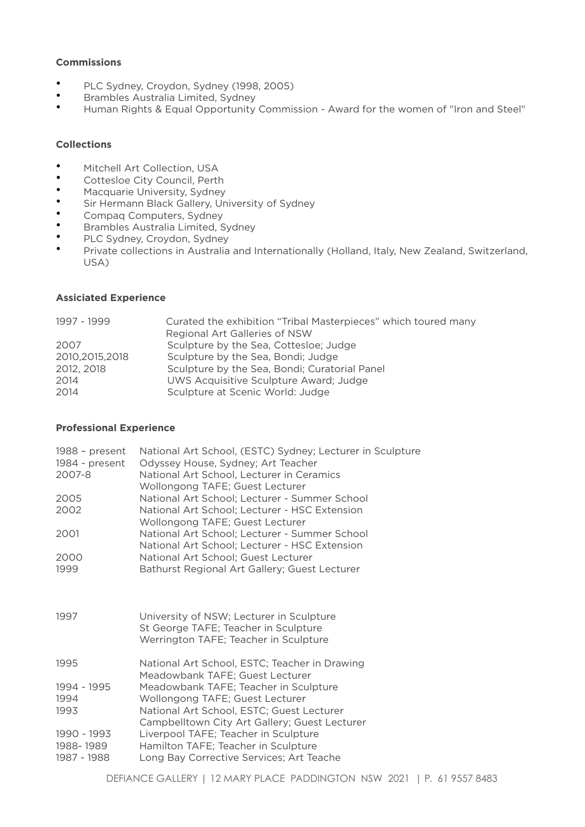## **Commissions**

- PLC Sydney, Croydon, Sydney (1998, 2005)
- Brambles Australia Limited, Sydney
- Human Rights & Equal Opportunity Commission Award for the women of "Iron and Steel"

#### **Collections**

- Mitchell Art Collection, USA<br>• Cottoslee City Council Borth
- Cottesloe City Council, Perth<br>• Maggiussie University Sydney
- Macquarie University, Sydney
- Sir Hermann Black Gallery, University of Sydney
- Compaq Computers, Sydney
- Brambles Australia Limited, Sydney
- PLC Sydney, Croydon, Sydney
- Private collections in Australia and Internationally (Holland, Italy, New Zealand, Switzerland, USA)

#### **Assiciated Experience**

| 1997 - 1999      | Curated the exhibition "Tribal Masterpieces" which toured many |
|------------------|----------------------------------------------------------------|
|                  | Regional Art Galleries of NSW                                  |
| 2007             | Sculpture by the Sea, Cottesloe; Judge                         |
| 2010, 2015, 2018 | Sculpture by the Sea, Bondi; Judge                             |
| 2012, 2018       | Sculpture by the Sea, Bondi; Curatorial Panel                  |
| 2014             | UWS Acquisitive Sculpture Award; Judge                         |
| 2014             | Sculpture at Scenic World: Judge                               |
|                  |                                                                |

### **Professional Experience**

| $1988$ – present<br>1984 - present<br>2007-8 | National Art School, (ESTC) Sydney; Lecturer in Sculpture<br>Odyssey House, Sydney; Art Teacher<br>National Art School, Lecturer in Ceramics<br>Wollongong TAFE; Guest Lecturer |
|----------------------------------------------|---------------------------------------------------------------------------------------------------------------------------------------------------------------------------------|
| 2005                                         | National Art School; Lecturer - Summer School                                                                                                                                   |
| 2002                                         | National Art School; Lecturer - HSC Extension<br>Wollongong TAFE; Guest Lecturer                                                                                                |
| 2001                                         | National Art School; Lecturer - Summer School<br>National Art School; Lecturer - HSC Extension                                                                                  |
| 2000                                         | National Art School; Guest Lecturer                                                                                                                                             |
| 1999                                         | Bathurst Regional Art Gallery; Guest Lecturer                                                                                                                                   |
| 1997                                         | University of NSW; Lecturer in Sculpture<br>St George TAFE; Teacher in Sculpture<br>Werrington TAFE; Teacher in Sculpture                                                       |
| 1995                                         | National Art School, ESTC; Teacher in Drawing<br>Meadowbank TAFE; Guest Lecturer                                                                                                |
| 1994 - 1995<br>1994<br>1993                  | Meadowbank TAFE; Teacher in Sculpture<br>Wollongong TAFE; Guest Lecturer<br>National Art School, ESTC; Guest Lecturer<br>Campbelltown City Art Gallery; Guest Lecturer          |
| 1990 - 1993<br>1988-1989<br>1987 - 1988      | Liverpool TAFE; Teacher in Sculpture<br>Hamilton TAFE; Teacher in Sculpture<br>Long Bay Corrective Services; Art Teache                                                         |